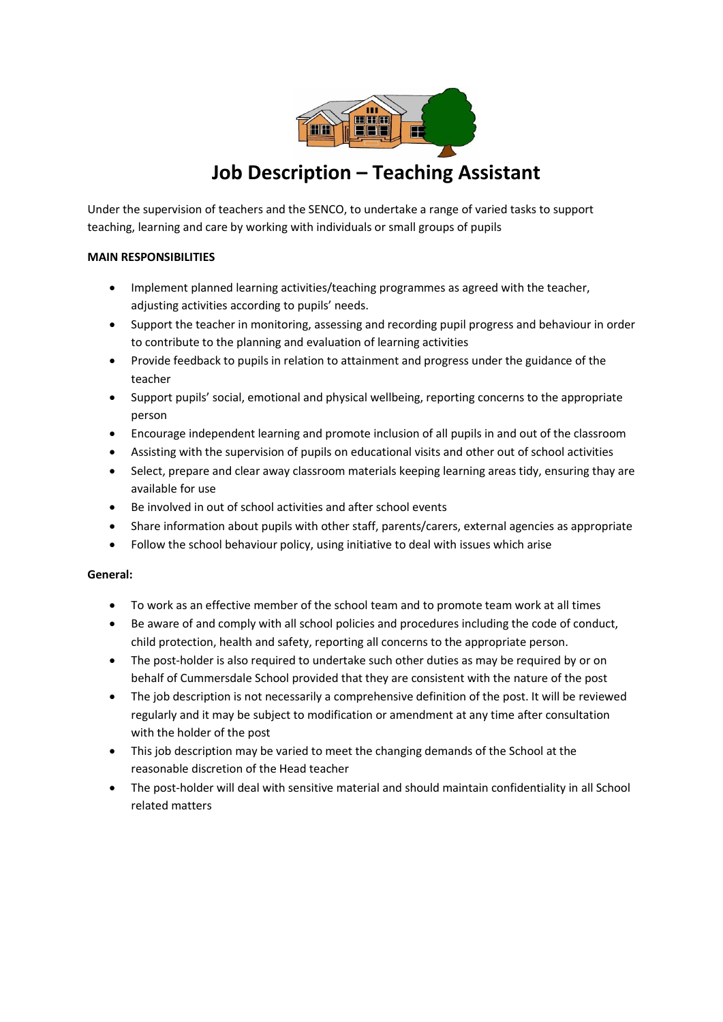

# **Job Description – Teaching Assistant**

Under the supervision of teachers and the SENCO, to undertake a range of varied tasks to support teaching, learning and care by working with individuals or small groups of pupils

### **MAIN RESPONSIBILITIES**

- Implement planned learning activities/teaching programmes as agreed with the teacher, adjusting activities according to pupils' needs.
- Support the teacher in monitoring, assessing and recording pupil progress and behaviour in order to contribute to the planning and evaluation of learning activities
- Provide feedback to pupils in relation to attainment and progress under the guidance of the teacher
- Support pupils' social, emotional and physical wellbeing, reporting concerns to the appropriate person
- Encourage independent learning and promote inclusion of all pupils in and out of the classroom
- Assisting with the supervision of pupils on educational visits and other out of school activities
- Select, prepare and clear away classroom materials keeping learning areas tidy, ensuring thay are available for use
- Be involved in out of school activities and after school events
- Share information about pupils with other staff, parents/carers, external agencies as appropriate
- Follow the school behaviour policy, using initiative to deal with issues which arise

## **General:**

- To work as an effective member of the school team and to promote team work at all times
- Be aware of and comply with all school policies and procedures including the code of conduct, child protection, health and safety, reporting all concerns to the appropriate person.
- The post-holder is also required to undertake such other duties as may be required by or on behalf of Cummersdale School provided that they are consistent with the nature of the post
- The job description is not necessarily a comprehensive definition of the post. It will be reviewed regularly and it may be subject to modification or amendment at any time after consultation with the holder of the post
- This job description may be varied to meet the changing demands of the School at the reasonable discretion of the Head teacher
- The post-holder will deal with sensitive material and should maintain confidentiality in all School related matters